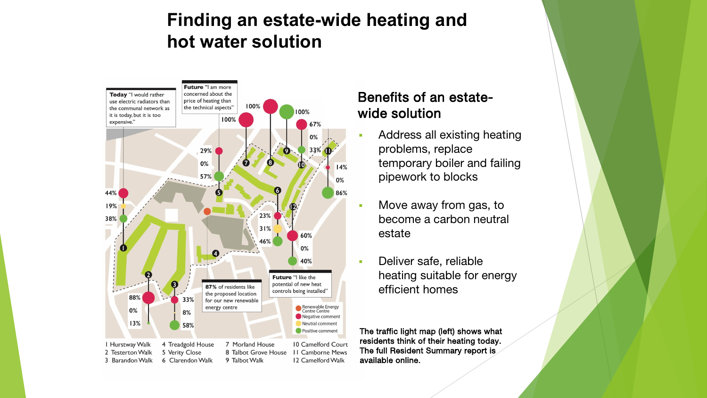#### **Finding an estate-wide heating and hot water solution**



#### Benefits of an estatewide solution

- **Address all existing heating** problems, replace temporary boiler and failing pipework to blocks
- **Move away from gas, to** become a carbon neutral estate
- **Deliver safe, reliable** heating suitable for energy efficient homes

The traffic light map (left) shows what residents think of their heating today. The full Resident Summary report is available online.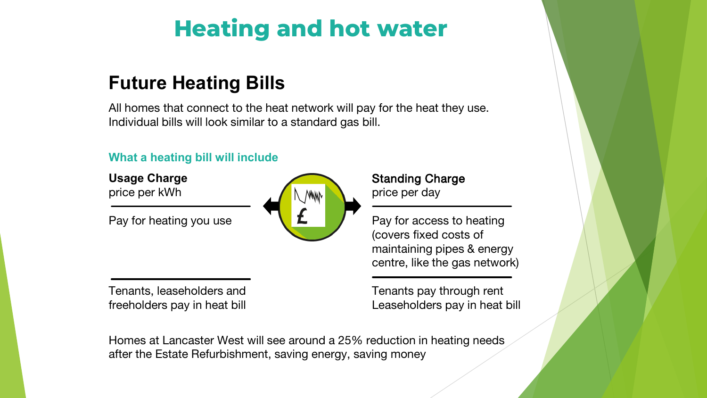# **Heating and hot water**

## **Future Heating Bills**

All homes that connect to the heat network will pay for the heat they use. Individual bills will look similar to a standard gas bill.

#### **What a heating bill will include**

**Usage Charge** price per kWh

Pay for heating you use



Tenants, leaseholders and freeholders pay in heat bill Standing Charge price per day

Pay for access to heating (covers fixed costs of maintaining pipes & energy centre, like the gas network)

Tenants pay through rent Leaseholders pay in heat bill

Homes at Lancaster West will see around a 25% reduction in heating needs after the Estate Refurbishment, saving energy, saving money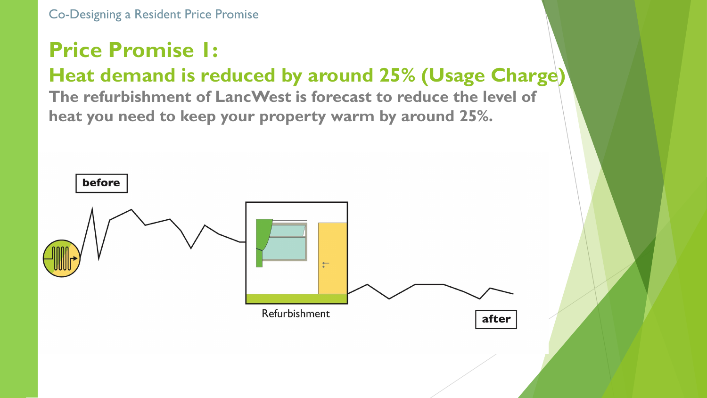Co-Designing a Resident Price Promise

## **Price Promise 1:**

## **Heat demand is reduced by around 25% (Usage Charge)**

**The refurbishment of LancWest is forecast to reduce the level of heat you need to keep your property warm by around 25%.**

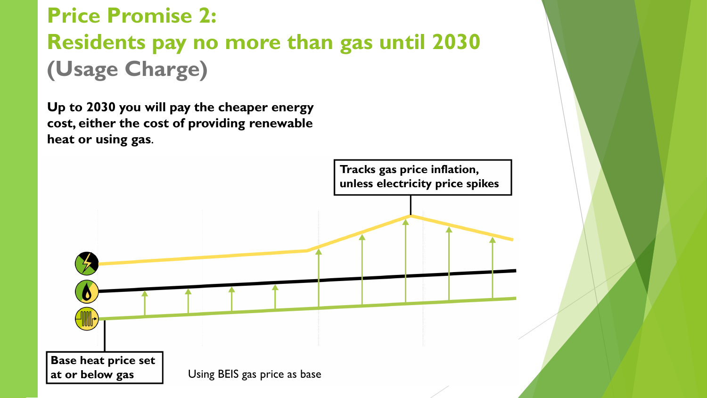## **Price Promise 2: Residents pay no more than gas until 2030 (Usage Charge)**

**Up to 2030 you will pay the cheaper energy cost, either the cost of providing renewable heat or using gas**.

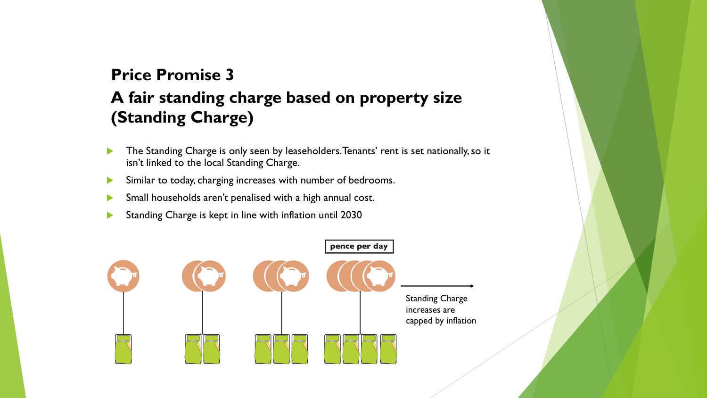### **A fair standing charge based on property size (Standing Charge) Price Promise 3**

- The Standing Charge is only seen by leaseholders. Tenants' rent is set nationally, so it isn't linked to the local Standing Charge.
- Similar to today, charging increases with number of bedrooms.
- Small households aren't penalised with a high annual cost.
- Standing Charge is kept in line with inflation until 2030